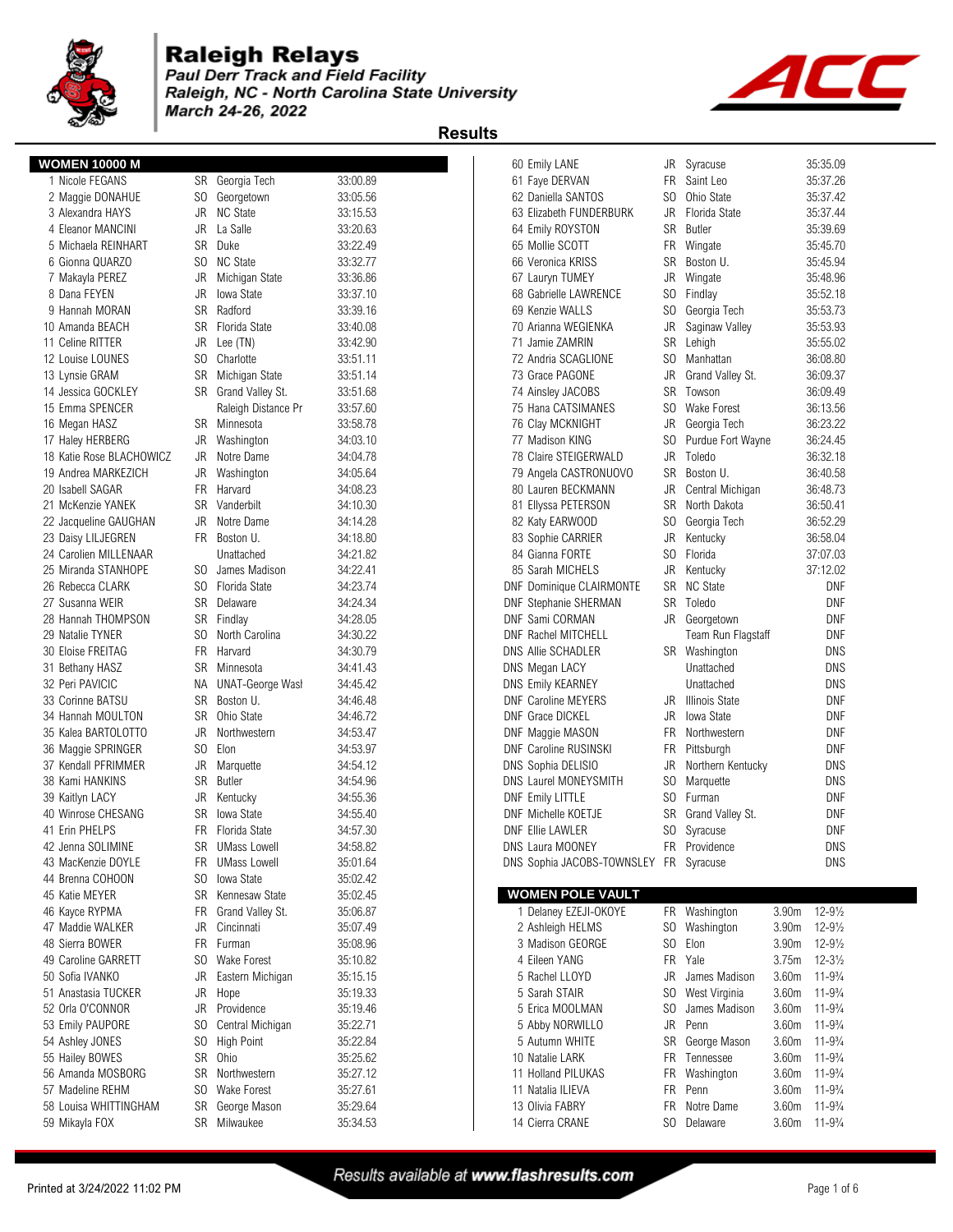

### **Raleigh Relays**

**Paul Derr Track and Field Facility** Raleigh, NC - North Carolina State University March 24-26, 2022





|                          |           |                         |          | ngauna                                                                     |
|--------------------------|-----------|-------------------------|----------|----------------------------------------------------------------------------|
| <b>WOMEN 10000 M</b>     |           |                         |          | Syracuse<br>35:35.09<br>60 Emily LANE<br>JR                                |
| 1 Nicole FEGANS          | SR        | Georgia Tech            | 33:00.89 | <b>FR</b><br>61 Faye DERVAN<br>Saint Leo<br>35:37.26                       |
| 2 Maggie DONAHUE         | SO.       | Georgetown              | 33:05.56 | SO.<br>Ohio State<br>35:37.42<br>62 Daniella SANTOS                        |
| 3 Alexandra HAYS         | JR        | <b>NC State</b>         | 33:15.53 | JR<br>Florida State<br>35:37.44<br>63 Elizabeth FUNDERBURK                 |
| 4 Eleanor MANCINI        | JR        | La Salle                | 33:20.63 | 64 Emily ROYSTON<br>SR<br>Butler<br>35:39.69                               |
| 5 Michaela REINHART      | <b>SR</b> | Duke                    | 33:22.49 | FR<br>35:45.70<br>65 Mollie SCOTT<br>Wingate                               |
| 6 Gionna QUARZO          | SO.       | <b>NC State</b>         | 33:32.77 | SR<br>35:45.94<br>66 Veronica KRISS<br>Boston U.                           |
| 7 Makayla PEREZ          | JR        | Michigan State          | 33:36.86 | JR<br>35:48.96<br>67 Lauryn TUMEY<br>Wingate                               |
| 8 Dana FEYEN             | JR        | <b>Iowa State</b>       | 33:37.10 | 35:52.18<br>S <sub>0</sub><br>68 Gabrielle LAWRENCE<br>Findlay             |
| 9 Hannah MORAN           | <b>SR</b> | Radford                 | 33:39.16 | SO.<br>35:53.73<br>69 Kenzie WALLS<br>Georgia Tech                         |
| 10 Amanda BEACH          | SR        | Florida State           | 33:40.08 | 35:53.93<br>70 Arianna WEGIENKA<br>JR<br>Saginaw Valley                    |
| 11 Celine RITTER         | JR        | Lee (TN)                | 33:42.90 | SR<br>Lehigh<br>35:55.02<br>71 Jamie ZAMRIN                                |
| 12 Louise LOUNES         | SO.       | Charlotte               | 33:51.11 | 72 Andria SCAGLIONE<br>SO.<br>36:08.80<br>Manhattan                        |
| 13 Lynsie GRAM           | SR        | Michigan State          | 33:51.14 | 73 Grace PAGONE<br>JR<br>Grand Valley St.<br>36:09.37                      |
| 14 Jessica GOCKLEY       |           | SR Grand Valley St.     | 33:51.68 | SR<br>36:09.49<br>74 Ainsley JACOBS<br>Towson                              |
| 15 Emma SPENCER          |           | Raleigh Distance Pr     | 33:57.60 | SO.<br><b>Wake Forest</b><br>36:13.56<br>75 Hana CATSIMANES                |
| 16 Megan HASZ            | SR        | Minnesota               | 33:58.78 | 76 Clay MCKNIGHT<br>JR<br>36:23.22<br>Georgia Tech                         |
| 17 Haley HERBERG         | JR        | Washington              | 34:03.10 | 77 Madison KING<br>S <sub>0</sub><br>36:24.45<br>Purdue Fort Wayne         |
| 18 Katie Rose BLACHOWICZ | JR        | Notre Dame              | 34:04.78 | 78 Claire STEIGERWALD<br>JR<br>Toledo<br>36:32.18                          |
| 19 Andrea MARKEZICH      | JR        | Washington              | 34:05.64 | SR<br>Boston U.<br>36:40.58<br>79 Angela CASTRONUOVO                       |
| 20 Isabell SAGAR         | <b>FR</b> | Harvard                 | 34:08.23 | 80 Lauren BECKMANN<br>JR<br>Central Michigan<br>36:48.73                   |
| 21 McKenzie YANEK        | <b>SR</b> | Vanderbilt              | 34:10.30 | 81 Ellyssa PETERSON<br>SR<br>North Dakota<br>36:50.41                      |
| 22 Jacqueline GAUGHAN    | JR        | Notre Dame              | 34:14.28 | 82 Katy EARWOOD<br>SO.<br>Georgia Tech<br>36:52.29                         |
| 23 Daisy LILJEGREN       | FR.       | Boston U.               | 34:18.80 | 83 Sophie CARRIER<br>JR<br>36:58.04<br>Kentucky                            |
| 24 Carolien MILLENAAR    |           | Unattached              | 34:21.82 | Florida<br>84 Gianna FORTE<br>SO.<br>37:07.03                              |
| 25 Miranda STANHOPE      | SO.       | James Madison           | 34:22.41 | JR<br>37:12.02<br>85 Sarah MICHELS<br>Kentucky                             |
| 26 Rebecca CLARK         | SO.       | Florida State           | 34:23.74 | SR NC State<br><b>DNF</b><br><b>DNF Dominique CLAIRMONTE</b>               |
| 27 Susanna WEIR          | SR        | Delaware                | 34:24.34 | <b>DNF</b><br>SR<br>Toledo<br><b>DNF Stephanie SHERMAN</b>                 |
| 28 Hannah THOMPSON       | SR        | Findlay                 | 34:28.05 | <b>DNF</b><br>DNF Sami CORMAN<br>JR<br>Georgetown                          |
| 29 Natalie TYNER         | SO.       | North Carolina          | 34:30.22 | <b>DNF</b><br>DNF Rachel MITCHELL<br>Team Run Flagstaff                    |
| 30 Eloise FREITAG        | <b>FR</b> | Harvard                 | 34:30.79 | <b>DNS</b><br><b>DNS Allie SCHADLER</b><br>SR Washington                   |
| 31 Bethany HASZ          | SR        | Minnesota               | 34:41.43 | <b>DNS</b><br>DNS Megan LACY<br>Unattached                                 |
| 32 Peri PAVICIC          | ΝA        | <b>UNAT-George Wasl</b> | 34:45.42 | <b>DNS</b><br><b>DNS Emily KEARNEY</b><br>Unattached                       |
| 33 Corinne BATSU         | SR        | Boston U.               | 34:46.48 | <b>DNF</b><br><b>Illinois State</b><br><b>DNF Caroline MEYERS</b><br>JR    |
| 34 Hannah MOULTON        | SR        | Ohio State              | 34:46.72 | <b>DNF</b><br><b>DNF Grace DICKEL</b><br>JR<br>Iowa State                  |
| 35 Kalea BARTOLOTTO      | JR        | Northwestern            | 34:53.47 | <b>DNF</b><br>FR<br>Northwestern<br>DNF Maggie MASON                       |
| 36 Maggie SPRINGER       | SO.       | Elon                    | 34:53.97 | <b>DNF</b><br><b>DNF Caroline RUSINSKI</b><br>FR<br>Pittsburgh             |
| 37 Kendall PFRIMMER      | JR        | Marquette               | 34:54.12 | <b>DNS</b><br>JR<br>DNS Sophia DELISIO<br>Northern Kentucky                |
| 38 Kami HANKINS          | SR        | <b>Butler</b>           | 34:54.96 | <b>DNS</b><br>S <sub>0</sub><br>DNS Laurel MONEYSMITH<br>Marquette         |
| 39 Kaitlyn LACY          | JR        | Kentucky                | 34:55.36 | <b>DNF</b><br>SO.<br><b>DNF Emily LITTLE</b><br>Furman                     |
| 40 Winrose CHESANG       | SR        | <b>Iowa State</b>       | 34:55.40 | <b>DNF</b><br>DNF Michelle KOETJE<br>SR<br>Grand Valley St.                |
| 41 Erin PHELPS           | FR        | Florida State           | 34:57.30 | SO.<br>Syracuse<br><b>DNF</b><br>DNF Ellie LAWLER                          |
| 42 Jenna SOLIMINE        | SR        | <b>UMass Lowell</b>     | 34:58.82 | <b>DNS</b><br>DNS Laura MOONEY<br>FR Providence                            |
| 43 MacKenzie DOYLE       | <b>FR</b> | <b>UMass Lowell</b>     | 35:01.64 | <b>DNS</b><br>DNS Sophia JACOBS-TOWNSLEY FR Syracuse                       |
| 44 Brenna COHOON         | SO        | Iowa State              | 35:02.42 |                                                                            |
| 45 Katie MEYER           | SR        | Kennesaw State          | 35:02.45 | <b>WOMEN POLE VAULT</b>                                                    |
| 46 Kayce RYPMA           | FR        | Grand Valley St.        | 35:06.87 | $12 - 9\frac{1}{2}$<br>1 Delaney EZEJI-OKOYE<br>FR Washington<br>3.90m     |
| 47 Maddie WALKER         | JR        | Cincinnati              | 35:07.49 | Washington<br>3.90m<br>$12 - 9\frac{1}{2}$<br>2 Ashleigh HELMS<br>SO.      |
| 48 Sierra BOWER          | <b>FR</b> | Furman                  | 35:08.96 | S <sub>0</sub><br>3.90m<br>$12 - 9\frac{1}{2}$<br>3 Madison GEORGE<br>Elon |
| 49 Caroline GARRETT      | SO.       | <b>Wake Forest</b>      | 35:10.82 | 4 Eileen YANG<br>FR Yale<br>3.75m<br>$12 - 3\frac{1}{2}$                   |
| 50 Sofia IVANKO          | JR        | Eastern Michigan        | 35:15.15 | 5 Rachel LLOYD<br>JR<br>3.60m<br>$11 - 9\frac{3}{4}$<br>James Madison      |
| 51 Anastasia TUCKER      | JR        | Hope                    | 35:19.33 | 3.60m<br>$11 - 9\frac{3}{4}$<br>5 Sarah STAIR<br>SO.<br>West Virginia      |
| 52 Orla O'CONNOR         | JR        | Providence              | 35:19.46 | James Madison<br>3.60m<br>$11 - 9\frac{3}{4}$<br>5 Erica MOOLMAN<br>SO.    |
| 53 Emily PAUPORE         | SO.       | Central Michigan        | 35:22.71 | JR<br>3.60m<br>$11 - 9\frac{3}{4}$<br>5 Abby NORWILLO<br>Penn              |
| 54 Ashley JONES          | SO.       | <b>High Point</b>       | 35:22.84 | 3.60m<br>$11 - 9\frac{3}{4}$<br>5 Autumn WHITE<br>SR<br>George Mason       |
| 55 Hailey BOWES          | <b>SR</b> | Ohio                    | 35:25.62 | FR<br>3.60m<br>$11 - 9\frac{3}{4}$<br>10 Natalie LARK<br>Tennessee         |
| 56 Amanda MOSBORG        | SR        | Northwestern            | 35:27.12 | 3.60m<br>$11 - 9\frac{3}{4}$<br>11 Holland PILUKAS<br>FR Washington        |
| 57 Madeline REHM         | SO.       | Wake Forest             | 35:27.61 | <b>FR</b><br>$11 - 9\frac{3}{4}$<br>11 Natalia ILIEVA<br>Penn<br>3.60m     |
| 58 Louisa WHITTINGHAM    | SR        | George Mason            | 35:29.64 | $11 - 9\frac{3}{4}$<br>13 Olivia FABRY<br>FR<br>Notre Dame<br>3.60m        |
| 59 Mikayla FOX           | SR        | Milwaukee               | 35:34.53 | 14 Cierra CRANE<br>SO.<br>3.60m<br>$11 - 9\frac{3}{4}$<br>Delaware         |
|                          |           |                         |          |                                                                            |

| ٨F                       | JR             | Syracuse              |       | 35:35.09            |
|--------------------------|----------------|-----------------------|-------|---------------------|
| RVAN                     | FR I           | Saint Leo             |       | 35:37.26            |
| SANTOS                   | SO.            | Ohio State            |       | 35:37.42            |
| FUNDERBURK               |                | JR Florida State      |       | 35:37.44            |
| YSTON                    | SR             | <b>Butler</b>         |       | 35:39.69            |
| <b>COTT</b>              | FR.            | Wingate               |       | 35:45.70            |
| ı Kriss                  | SR             | Boston U.             |       | 35:45.94            |
| <b>UMEY</b>              | JR             | Wingate               |       | 35:48.96            |
| LAWRENCE                 | SO             |                       |       |                     |
|                          |                | Findlay               |       | 35:52.18            |
| VALLS                    | SO.            | Georgia Tech          |       | 35:53.73            |
| WEGIENKA                 | JR.            | Saginaw Valley        |       | 35:53.93            |
| <b>MRIN</b>              | SR             | Lehigh                |       | 35:55.02            |
| CAGLIONE                 | SO.            | Manhattan             |       | 36:08.80            |
| <b>AGONE</b>             | JR             | Grand Valley St.      |       | 36:09.37            |
| <b>JACOBS</b>            | SR             | Towson                |       | 36:09.49            |
| <b>TSIMANES</b>          | SO.            | <b>Wake Forest</b>    |       | 36:13.56            |
| KNIGHT                   | JR             | Georgia Tech          |       | 36:23.22            |
| KING                     | SO.            | Purdue Fort Wayne     |       | 36:24.45            |
| <b><i>FEIGERWALD</i></b> | JR             | Toledo                |       | 36:32.18            |
| CASTRONUOVO              | SR             | Boston U.             |       | 36:40.58            |
| <b>BECKMANN</b>          | JR             | Central Michigan      |       | 36:48.73            |
| <b>ETERSON</b>           | <b>SR</b>      | North Dakota          |       | 36:50.41            |
| RWOOD                    | SO             | Georgia Tech          |       | 36:52.29            |
| CARRIER                  | JR             | Kentucky              |       | 36:58.04            |
| ORTE                     | SO.            | Florida               |       | 37:07.03            |
| <b>ICHELS</b>            | JR             | Kentucky              |       | 37:12.02            |
| ue CLAIRMONTE            |                | SR NC State           |       | DNF                 |
| e SHERMAN                |                | SR Toledo             |       | DNF                 |
| <b>RMAN</b>              | JR             | Georgetown            |       | DNF                 |
| <b>IITCHELL</b>          |                | Team Run Flagstaff    |       | DNF                 |
| <b>HADLER</b>            | <b>SR</b>      | Washington            |       | DNS                 |
| ACY                      |                | Unattached            |       | DNS                 |
| ARNEY                    |                | Unattached            |       | DNS                 |
| <b>MEYERS</b>            | JR             | <b>Illinois State</b> |       | DNF                 |
| <b>CKEL</b>              | JR             | Iowa State            |       | DNF                 |
| <b>MASON</b>             | FR.            | Northwestern          |       | DNF                 |
| <b>RUSINSKI</b>          | FR             | Pittsburgh            |       | DNF                 |
| <b>DELISIO</b>           | JR             | Northern Kentucky     |       | DNS                 |
| IONEYSMITH               | SO.            | Marquette             |       | DNS                 |
| <b>TTLE</b>              | SO.            | Furman                |       | DNF                 |
| KOETJE                   | <b>SR</b>      | Grand Valley St.      |       | DNF                 |
| VLER                     | S <sub>O</sub> | Syracuse              |       | DNF                 |
| 00NEY                    | FR             | Providence            |       | <b>DNS</b>          |
| IACOBS-TOWNSLEY          | FR             | Syracuse              |       | DNS                 |
|                          |                |                       |       |                     |
| <b>POLE VAULT</b>        |                |                       |       |                     |
| EZEJI-OKOYE              | FR             | Washington            | 3.90m | $12 - 9\frac{1}{2}$ |
| <b>HELMS</b>             | SO             | Washington            | 3.90m | $12 - 9\frac{1}{2}$ |
| <b>GEORGE</b>            | SO             | Elon                  | 3.90m | $12 - 9\frac{1}{2}$ |
|                          |                |                       |       |                     |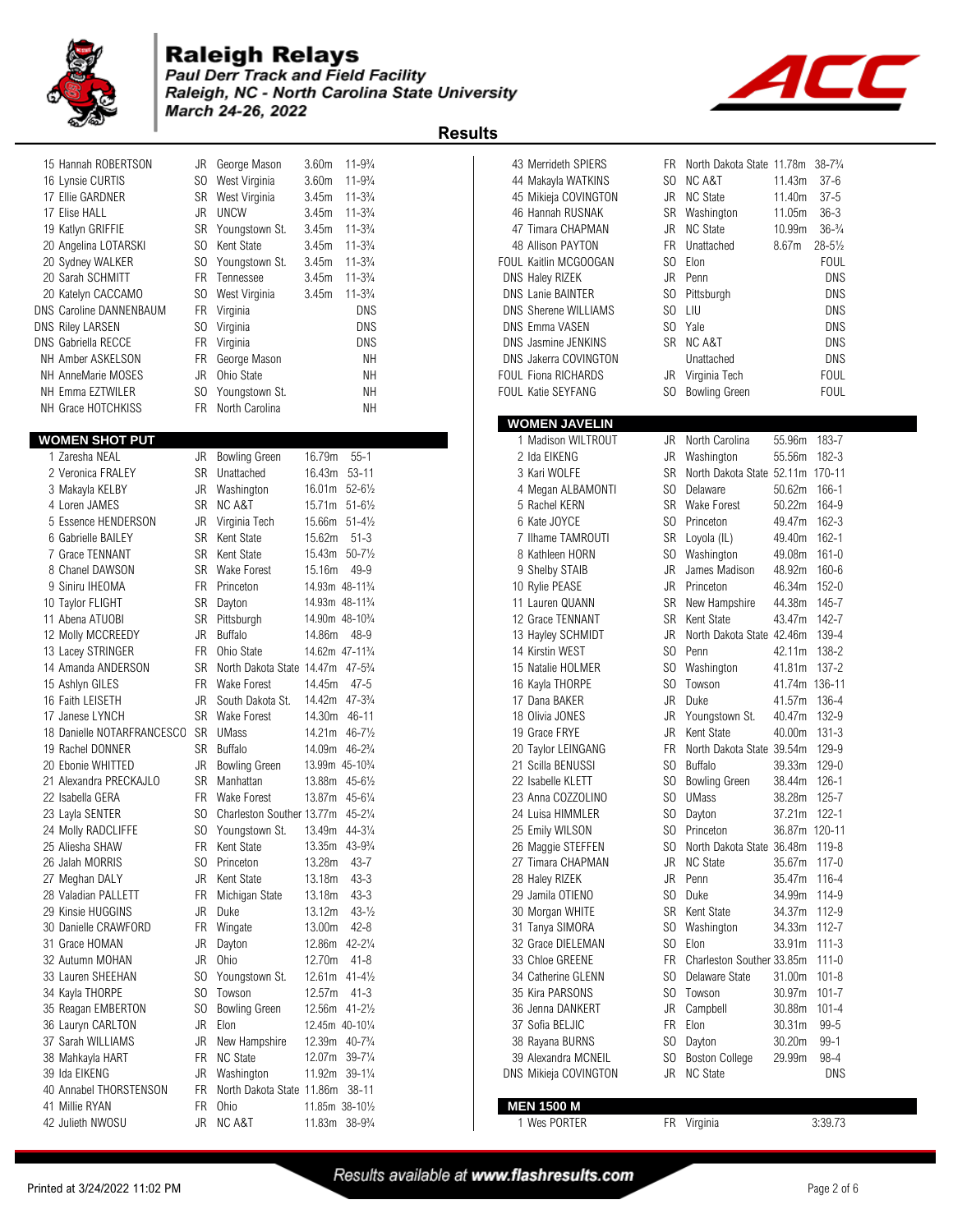

#### **Raleigh Relays** Paul Derr Track and Field Facility Raleigh, NC - North Carolina State University March 24-26, 2022

 $\blacktriangleleft$ 

| 15 Hannah ROBERTSON<br>16 Lynsie CURTIS<br>17 Ellie GARDNER<br>17 Elise HALL<br>19 Katlyn GRIFFIE | JR<br>SO.<br>SR<br>JR.<br>SR | George Mason<br>West Virginia<br>West Virginia<br><b>UNCW</b><br>Youngstown St. | 3.60 <sub>m</sub><br>3.60 <sub>m</sub><br>3.45m<br>3.45m<br>3.45m | $11 - 9\frac{3}{4}$<br>$11 - 9\frac{3}{4}$<br>$11 - 3\frac{3}{4}$<br>$11 - 3\frac{3}{4}$<br>$11 - 3\frac{3}{4}$ |
|---------------------------------------------------------------------------------------------------|------------------------------|---------------------------------------------------------------------------------|-------------------------------------------------------------------|-----------------------------------------------------------------------------------------------------------------|
| 20 Angelina LOTARSKI                                                                              | SO.                          | Kent State                                                                      | 3.45m                                                             | $11 - 3\frac{3}{4}$                                                                                             |
| 20 Sydney WALKER                                                                                  | SO.                          | Youngstown St.                                                                  | 3.45m                                                             | $11 - 3\frac{3}{4}$                                                                                             |
| 20 Sarah SCHMITT                                                                                  | <b>FR</b>                    | Tennessee                                                                       | 3.45m                                                             | $11 - 3\frac{3}{4}$                                                                                             |
| 20 Katelyn CACCAMO                                                                                | SO.                          | West Virginia                                                                   | 3.45m                                                             | $11 - 3\frac{3}{4}$                                                                                             |
| <b>DNS Caroline DANNENBAUM</b>                                                                    | FR.                          | Virginia                                                                        |                                                                   | <b>DNS</b>                                                                                                      |
| <b>DNS Riley LARSEN</b>                                                                           | SO.                          | Virginia                                                                        |                                                                   | <b>DNS</b>                                                                                                      |
| <b>DNS Gabriella RECCE</b>                                                                        | <b>FR</b>                    | Virginia                                                                        |                                                                   | <b>DNS</b>                                                                                                      |
| <b>NH Amber ASKELSON</b>                                                                          | FR.                          | George Mason                                                                    |                                                                   | NΗ                                                                                                              |
| <b>NH AnneMarie MOSES</b>                                                                         | JR.                          | Ohio State                                                                      |                                                                   | NΗ                                                                                                              |
| NH Emma EZTWILER                                                                                  | SO.                          | Youngstown St.                                                                  |                                                                   | NΗ                                                                                                              |
| NH Grace HOTCHKISS                                                                                | FR.                          | North Carolina                                                                  |                                                                   | NΗ                                                                                                              |
|                                                                                                   |                              |                                                                                 |                                                                   |                                                                                                                 |
| <b>WOMEN SHOT PUT</b>                                                                             |                              |                                                                                 |                                                                   |                                                                                                                 |
| 1 Zaresha NEAL                                                                                    | JR.                          | <b>Bowling Green</b>                                                            | 16.79m                                                            | $55 - 1$                                                                                                        |
| 2 Veronica FRALEY                                                                                 | SR                           | Unattached                                                                      | 16.43m                                                            | $53 - 11$                                                                                                       |
| 3 Makayla KELBY                                                                                   | JR                           | Washington                                                                      | 16.01m                                                            | $52 - 6\frac{1}{2}$                                                                                             |
|                                                                                                   |                              |                                                                                 |                                                                   |                                                                                                                 |

| 1 Zaresha NEAL             | JR             | <b>Bowling Green</b>              | 16.79m                                   | $55 - 1$            |  | 2 Ida EIKENG          | JR             | Washington                       | 55.56m        | 182-3      |
|----------------------------|----------------|-----------------------------------|------------------------------------------|---------------------|--|-----------------------|----------------|----------------------------------|---------------|------------|
| 2 Veronica FRALEY          | SR             | Unattached                        | 16.43m 53-11                             |                     |  | 3 Kari WOLFE          | <b>SR</b>      | North Dakota State 52.11m 170-11 |               |            |
| 3 Makayla KELBY            | JR             | Washington                        | 16.01m 52-61/2                           |                     |  | 4 Megan ALBAMONTI     | SO.            | Delaware                         | 50.62m        | $166 - 1$  |
| 4 Loren JAMES              | SR.            | NC A&T                            | 15.71m 51-61/2                           |                     |  | 5 Rachel KERN         | <b>SR</b>      | Wake Forest                      | 50.22m        | 164-9      |
| 5 Essence HENDERSON        | JR             | Virginia Tech                     | 15.66m 51-41/2                           |                     |  | 6 Kate JOYCE          | SO.            | Princeton                        | 49.47m        | $162 - 3$  |
| 6 Gabrielle BAILEY         | <b>SR</b>      | Kent State                        | 15.62m                                   | $51 - 3$            |  | 7 Ilhame TAMROUTI     | <b>SR</b>      | Loyola (IL)                      | 49.40m        | $162 - 1$  |
| 7 Grace TENNANT            | SR             | Kent State                        | 15.43m 50-71/2                           |                     |  | 8 Kathleen HORN       | S <sub>0</sub> | Washington                       | 49.08m        | $161 - 0$  |
| 8 Chanel DAWSON            | <b>SR</b>      | Wake Forest                       | 15.16m                                   | 49-9                |  | 9 Shelby STAIB        | JR             | James Madison                    | 48.92m        | 160-6      |
| 9 Siniru IHEOMA            | <b>FR</b>      | Princeton                         | 14.93m 48-11%                            |                     |  | 10 Rylie PEASE        | JR             | Princeton                        | 46.34m        | $152 - 0$  |
| 10 Taylor FLIGHT           | <b>SR</b>      | Dayton                            | 14.93m 48-11%                            |                     |  | 11 Lauren QUANN       | <b>SR</b>      | New Hampshire                    | 44.38m        | 145-7      |
| 11 Abena ATUOBI            | <b>SR</b>      | Pittsburgh                        | 14.90m 48-10 <sup>3</sup> / <sub>4</sub> |                     |  | 12 Grace TENNANT      | <b>SR</b>      | Kent State                       | 43.47m        | $142 - 7$  |
| 12 Molly MCCREEDY          | JR             | <b>Buffalo</b>                    | 14.86m                                   | -48-9               |  | 13 Hayley SCHMIDT     | JR.            | North Dakota State 42.46m        |               | 139-4      |
| 13 Lacey STRINGER          | <b>FR</b>      | Ohio State                        | 14.62m 47-11 <sup>3</sup> / <sub>4</sub> |                     |  | 14 Kirstin WEST       | S <sub>0</sub> | Penn                             | 42.11m        | 138-2      |
| 14 Amanda ANDERSON         | SR             | North Dakota State 14.47m 47-53/4 |                                          |                     |  | 15 Natalie HOLMER     | S <sub>0</sub> | Washington                       | 41.81m        | $137 - 2$  |
| 15 Ashlyn GILES            | <b>FR</b>      | <b>Wake Forest</b>                | 14.45m                                   | $47 - 5$            |  | 16 Kayla THORPE       | S <sub>0</sub> | Towson                           | 41.74m 136-11 |            |
| 16 Faith LEISETH           | JR             | South Dakota St.                  | 14.42m 47-33/4                           |                     |  | 17 Dana BAKER         | <b>JR</b>      | Duke                             | 41.57m        | 136-4      |
| 17 Janese LYNCH            | SR.            | <b>Wake Forest</b>                | 14.30m 46-11                             |                     |  | 18 Olivia JONES       | JR             | Youngstown St.                   | 40.47m        | 132-9      |
| 18 Danielle NOTARFRANCESCO | SR             | <b>UMass</b>                      | 14.21m 46-71/2                           |                     |  | 19 Grace FRYE         | <b>JR</b>      | Kent State                       | 40.00m        | $131 - 3$  |
| 19 Rachel DONNER           | <b>SR</b>      | <b>Buffalo</b>                    | 14.09m                                   | $46 - 2\frac{3}{4}$ |  | 20 Taylor LEINGANG    | <b>FR</b>      | North Dakota State 39.54m        |               | 129-9      |
| 20 Ebonie WHITTED          | JR             | <b>Bowling Green</b>              | 13.99m 45-10 <sup>3</sup> / <sub>4</sub> |                     |  | 21 Scilla BENUSSI     | S <sub>0</sub> | <b>Buffalo</b>                   | 39.33m        | 129-0      |
| 21 Alexandra PRECKAJLO     | SR.            | Manhattan                         | 13.88m 45-61/2                           |                     |  | 22 Isabelle KLETT     | SO.            | <b>Bowling Green</b>             | 38.44m        | $126 - 1$  |
| 22 Isabella GERA           | <b>FR</b>      | <b>Wake Forest</b>                | 13.87m 45-61/4                           |                     |  | 23 Anna COZZOLINO     | S <sub>0</sub> | <b>UMass</b>                     | 38.28m        | $125 - 7$  |
| 23 Layla SENTER            | SO.            | Charleston Souther 13.77m 45-21/4 |                                          |                     |  | 24 Luisa HIMMLER      | SO.            | Dayton                           | 37.21m        | $122 - 1$  |
| 24 Molly RADCLIFFE         | S <sub>0</sub> | Youngstown St.                    | 13.49m                                   | 44-3¼               |  | 25 Emily WILSON       | SO.            | Princeton                        | 36.87m 120-11 |            |
| 25 Aliesha SHAW            | FR.            | Kent State                        | 13.35m 43-93/4                           |                     |  | 26 Maggie STEFFEN     | SO.            | North Dakota State 36.48m        |               | 119-8      |
| 26 Jalah MORRIS            | SO.            | Princeton                         | 13.28m                                   | $43 - 7$            |  | 27 Timara CHAPMAN     | JR             | <b>NC State</b>                  | 35.67m        | $117 - 0$  |
| 27 Meghan DALY             | <b>JR</b>      | Kent State                        | 13.18m                                   | $43 - 3$            |  | 28 Haley RIZEK        | <b>JR</b>      | Penn                             | 35.47m        | 116-4      |
| 28 Valadian PALLETT        | <b>FR</b>      | Michigan State                    | 13.18m                                   | $43 - 3$            |  | 29 Jamila OTIENO      | S <sub>0</sub> | Duke                             | 34.99m        | 114-9      |
| 29 Kinsie HUGGINS          | JR             | Duke                              | 13.12m                                   | $43 - \frac{1}{2}$  |  | 30 Morgan WHITE       | <b>SR</b>      | <b>Kent State</b>                | 34.37m        | 112-9      |
| 30 Danielle CRAWFORD       | FR.            | Wingate                           | 13.00m                                   | $42 - 8$            |  | 31 Tanya SIMORA       | S <sub>0</sub> | Washington                       | 34.33m        | $112 - 7$  |
| 31 Grace HOMAN             | JR             | Dayton                            | 12.86m                                   | $42 - 2\frac{1}{4}$ |  | 32 Grace DIELEMAN     | S <sub>0</sub> | Elon                             | 33.91m        | $111 - 3$  |
| 32 Autumn MOHAN            | <b>JR</b>      | Ohio                              | 12.70m                                   | $41 - 8$            |  | 33 Chloe GREENE       | <b>FR</b>      | Charleston Souther 33.85m        |               | $111 - 0$  |
| 33 Lauren SHEEHAN          | SO.            | Youngstown St.                    | $12.61m$ 41-41/ <sub>2</sub>             |                     |  | 34 Catherine GLENN    | SO.            | Delaware State                   | 31.00m        | $101 - 8$  |
| 34 Kayla THORPE            | S <sub>0</sub> | Towson                            | 12.57m                                   | 41-3                |  | 35 Kira PARSONS       | SO.            | Towson                           | 30.97m        | $101 - 7$  |
| 35 Reagan EMBERTON         | SO.            | <b>Bowling Green</b>              | 12.56m 41-21/2                           |                     |  | 36 Jenna DANKERT      | JR             | Campbell                         | 30.88m        | $101 - 4$  |
| 36 Lauryn CARLTON          | <b>JR</b>      | Elon                              | 12.45m 40-101/4                          |                     |  | 37 Sofia BELJIC       | <b>FR</b>      | Elon                             | 30.31m        | $99 - 5$   |
| 37 Sarah WILLIAMS          | JR             | New Hampshire                     | 12.39m 40-73/4                           |                     |  | 38 Rayana BURNS       | SO.            | Dayton                           | 30.20m        | $99 - 1$   |
| 38 Mahkayla HART           | FR.            | <b>NC State</b>                   | 12.07m 39-71/4                           |                     |  | 39 Alexandra MCNEIL   | SO.            | <b>Boston College</b>            | 29.99m        | 98-4       |
| 39 Ida EIKENG              | JR             | Washington                        | 11.92m 39-11/4                           |                     |  | DNS Mikieja COVINGTON | <b>JR</b>      | <b>NC State</b>                  |               | <b>DNS</b> |
| 40 Annabel THORSTENSON     | FR             | North Dakota State 11.86m 38-11   |                                          |                     |  |                       |                |                                  |               |            |
| 41 Millie RYAN             | <b>FR</b>      | Ohio                              | 11.85m 38-101/2                          |                     |  | <b>MEN 1500 M</b>     |                |                                  |               |            |
| 42 Julieth NWOSU           | JR             | <b>NC A&amp;T</b>                 | 11.83m 38-93/4                           |                     |  | 1 Wes PORTER          |                | FR Virginia                      |               | 3:39.73    |
|                            |                |                                   |                                          |                     |  |                       |                |                                  |               |            |

|                                      |           |                                   |                              |                                          | <b>Results</b> |                               |                |                                              |                  |                     |
|--------------------------------------|-----------|-----------------------------------|------------------------------|------------------------------------------|----------------|-------------------------------|----------------|----------------------------------------------|------------------|---------------------|
| 15 Hannah ROBERTSON                  | JR        | George Mason                      | 3.60m                        | $11 - 9\frac{3}{4}$                      |                | 43 Merrideth SPIERS           |                | FR North Dakota State 11.78m                 |                  | $38 - 7\frac{3}{4}$ |
| 16 Lynsie CURTIS                     | SO.       | West Virginia                     | 3.60m                        | $11 - 9\frac{3}{4}$                      |                | 44 Makayla WATKINS            | SO.            | <b>NC A&amp;T</b>                            | 11.43m           | $37 - 6$            |
| 17 Ellie GARDNER                     | SR        | West Virginia                     | 3.45m                        | $11 - 3\frac{3}{4}$                      |                | 45 Mikieja COVINGTON          | JR             | <b>NC State</b>                              | 11.40m           | $37 - 5$            |
| 17 Elise HALL                        | JR        | <b>UNCW</b>                       | 3.45m                        | $11 - 3\frac{3}{4}$                      |                | 46 Hannah RUSNAK              | SR             | Washington                                   | 11.05m           | $36 - 3$            |
| 19 Katlyn GRIFFIE                    | SR        | Youngstown St.                    | 3.45m                        | $11 - 3\frac{3}{4}$                      |                | 47 Timara CHAPMAN             | JR             | <b>NC State</b>                              | 10.99m           | $36 - \frac{3}{4}$  |
| 20 Angelina LOTARSKI                 | SO.       | Kent State                        | 3.45m                        | $11 - 3\frac{3}{4}$                      |                | 48 Allison PAYTON             | FR.            | Unattached                                   | 8.67m            | $28 - 5\frac{1}{2}$ |
| 20 Sydney WALKER                     | SO.       | Youngstown St.                    | 3.45m                        | $11 - 3\frac{3}{4}$                      |                | FOUL Kaitlin MCGOOGAN         | SO.            | Elon                                         |                  | <b>FOUL</b>         |
| 20 Sarah SCHMITT                     | FR        | Tennessee                         | 3.45m                        | $11 - 3\frac{3}{4}$                      |                | DNS Haley RIZEK               | JR             | Penn                                         |                  | <b>DNS</b>          |
| 20 Katelyn CACCAMO                   | SO.       | West Virginia                     | 3.45m                        | $11 - 3\frac{3}{4}$                      |                | <b>DNS Lanie BAINTER</b>      | S <sub>0</sub> | Pittsburgh                                   |                  | <b>DNS</b>          |
| <b>DNS Caroline DANNENBAUM</b>       | FR        | Virginia                          |                              | <b>DNS</b>                               |                | <b>DNS Sherene WILLIAMS</b>   | S <sub>0</sub> | LIU                                          |                  | <b>DNS</b>          |
| <b>DNS Riley LARSEN</b>              | SO.       | Virginia                          |                              | <b>DNS</b>                               |                | <b>DNS Emma VASEN</b>         | S <sub>0</sub> | Yale                                         |                  | <b>DNS</b>          |
| <b>DNS Gabriella RECCE</b>           | <b>FR</b> | Virginia                          |                              | DNS                                      |                | DNS Jasmine JENKINS           |                | SR NCA&T                                     |                  | <b>DNS</b>          |
| NH Amber ASKELSON                    | FR        | George Mason                      |                              | <b>NH</b>                                |                | DNS Jakerra COVINGTON         |                | Unattached                                   |                  | <b>DNS</b>          |
| <b>NH AnneMarie MOSES</b>            | JR        | Ohio State                        |                              | NΗ                                       |                | FOUL Fiona RICHARDS           |                | JR Virginia Tech                             |                  | <b>FOUL</b>         |
| NH Emma EZTWILER                     | SO        | Youngstown St.                    |                              | NΗ                                       |                | <b>FOUL Katie SEYFANG</b>     | SO.            | <b>Bowling Green</b>                         |                  | <b>FOUL</b>         |
| NH Grace HOTCHKISS                   | FR.       | North Carolina                    |                              | NΗ                                       |                | <b>WOMEN JAVELIN</b>          |                |                                              |                  |                     |
|                                      |           |                                   |                              |                                          |                |                               |                |                                              |                  |                     |
| <b>WOMEN SHOT PUT</b>                |           |                                   |                              |                                          |                | 1 Madison WILTROUT            |                | JR North Carolina                            | 55.96m           | 183-7               |
| 1 Zaresha NEAL                       | JR        | <b>Bowling Green</b>              | 16.79m                       | $55 - 1$                                 |                | 2 Ida EIKENG                  | JR             | Washington                                   | 55.56m           | 182-3               |
| 2 Veronica FRALEY                    | SR        | Unattached                        | 16.43m 53-11                 |                                          |                | 3 Kari WOLFE                  | SR             | North Dakota State 52.11m 170-11<br>Delaware |                  |                     |
| 3 Makayla KELBY                      | JR        | Washington                        |                              | 16.01m 52-61/2                           |                | 4 Megan ALBAMONTI             | SO.            | Wake Forest                                  | 50.62m           | 166-1<br>164-9      |
| 4 Loren JAMES<br>5 Essence HENDERSON | SR        | NC A&T                            |                              | 15.71m 51-61/2<br>15.66m 51-41/2         |                | 5 Rachel KERN<br>6 Kate JOYCE | SR<br>SO.      | Princeton                                    | 50.22m<br>49.47m | 162-3               |
| 6 Gabrielle BAILEY                   | JR<br>SR  | Virginia Tech<br>Kent State       | 15.62m                       | $51 - 3$                                 |                | 7 Ilhame TAMROUTI             |                |                                              |                  | $162 - 1$           |
| 7 Grace TENNANT                      | SR        | Kent State                        |                              | 15.43m 50-71/2                           |                | 8 Kathleen HORN               | SR<br>SO       | Loyola (IL)<br>Washington                    | 49.40m<br>49.08m | $161 - 0$           |
| 8 Chanel DAWSON                      | SR        | <b>Wake Forest</b>                | 15.16m                       | 49-9                                     |                | 9 Shelby STAIB                | JR             | James Madison                                | 48.92m           | 160-6               |
| 9 Siniru IHEOMA                      | <b>FR</b> | Princeton                         |                              | 14.93m 48-11%                            |                | 10 Rylie PEASE                | JR             | Princeton                                    | 46.34m           | $152 - 0$           |
| 10 Taylor FLIGHT                     | SR        | Dayton                            |                              | 14.93m 48-11 <sup>3</sup> / <sub>4</sub> |                | 11 Lauren QUANN               | SR             | New Hampshire                                | 44.38m           | 145-7               |
| 11 Abena ATUOBI                      | SR        | Pittsburgh                        |                              | 14.90m 48-10 <sup>3</sup> / <sub>4</sub> |                | 12 Grace TENNANT              | SR             | Kent State                                   | 43.47m           | 142-7               |
| 12 Molly MCCREEDY                    | JR        | <b>Buffalo</b>                    | 14.86m                       | 48-9                                     |                | 13 Hayley SCHMIDT             | JR             | North Dakota State 42.46m                    |                  | 139-4               |
| 13 Lacey STRINGER                    | <b>FR</b> | Ohio State                        |                              | 14.62m 47-11 <sup>3</sup> / <sub>4</sub> |                | 14 Kirstin WEST               | SO.            | Penn                                         | 42.11m           | 138-2               |
| 14 Amanda ANDERSON                   | SR        | North Dakota State 14.47m 47-53/4 |                              |                                          |                | 15 Natalie HOLMER             | SO.            | Washington                                   | 41.81m           | 137-2               |
| 15 Ashlyn GILES                      | FR        | <b>Wake Forest</b>                | 14.45m                       | $47 - 5$                                 |                | 16 Kayla THORPE               | SO.            | Towson                                       | 41.74m 136-11    |                     |
| 16 Faith LEISETH                     | JR        | South Dakota St.                  |                              | 14.42m 47-3 <sup>3</sup> / <sub>4</sub>  |                | 17 Dana BAKER                 | <b>JR</b>      | Duke                                         | 41.57m           | 136-4               |
| 17 Janese LYNCH                      | SR        | <b>Wake Forest</b>                | 14.30m 46-11                 |                                          |                | 18 Olivia JONES               | JR             | Youngstown St.                               | 40.47m           | 132-9               |
| 18 Danielle NOTARFRANCESCO           | SR        | <b>UMass</b>                      |                              | 14.21m 46-71/2                           |                | 19 Grace FRYE                 | JR             | Kent State                                   | 40.00m           | $131 - 3$           |
| 19 Rachel DONNER                     | SR        | <b>Buffalo</b>                    | 14.09m 46-23/4               |                                          |                | 20 Taylor LEINGANG            | FR             | North Dakota State 39.54m                    |                  | 129-9               |
| 20 Ebonie WHITTED                    | JR        | <b>Bowling Green</b>              | 13.99m 45-10 <sup>3</sup> /4 |                                          |                | 21 Scilla BENUSSI             | S <sub>0</sub> | <b>Buffalo</b>                               | 39.33m           | $129 - 0$           |
| 21 Alexandra PRECKAJLO               | SR        | Manhattan                         | 13.88m 45-61/2               |                                          |                | 22 Isabelle KLETT             | S <sub>0</sub> | <b>Bowling Green</b>                         | 38.44m           | $126-1$             |
| 22 Isabella GERA                     | FR        | <b>Wake Forest</b>                | 13.87m                       | $45 - 6\frac{1}{4}$                      |                | 23 Anna COZZOLINO             | SO.            | <b>UMass</b>                                 | 38.28m           | $125 - 7$           |
| 23 Layla SENTER                      | SO.       | Charleston Souther 13.77m 45-21/4 |                              |                                          |                | 24 Luisa HIMMLER              | S <sub>0</sub> | Dayton                                       | 37.21m           | $122 - 1$           |
| 24 Molly RADCLIFFE                   |           | SO Youngstown St.                 |                              | 13.49m 44-31/4                           |                | 25 Emily WILSON               | SO.            | Princeton                                    | 36.87m 120-11    |                     |
| 25 Aliesha SHAW                      | FR        | Kent State                        |                              | 13.35m 43-93/4                           |                | 26 Maggie STEFFEN             | S <sub>0</sub> | North Dakota State 36.48m 119-8              |                  |                     |
| 26 Jalah MORRIS                      | SO.       | Princeton                         | 13.28m                       | $43 - 7$                                 |                | 27 Timara CHAPMAN             | JR             | <b>NC State</b>                              | 35.67m 117-0     |                     |
| 27 Meghan DALY                       | JR        | Kent State                        | 13.18m                       | $43 - 3$                                 |                | 28 Haley RIZEK                | JR             | Penn                                         | 35.47m 116-4     |                     |
| 28 Valadian PALLETT                  | FR        | Michigan State                    | 13.18m                       | $43 - 3$                                 |                | 29 Jamila OTIENO              | S <sub>0</sub> | Duke                                         | 34.99m 114-9     |                     |
| 29 Kinsie HUGGINS                    | JR        | Duke                              | 13.12m                       | $43 - \frac{1}{2}$                       |                | 30 Morgan WHITE               |                | SR Kent State                                | 34.37m 112-9     |                     |
| 30 Danielle CRAWFORD                 | FR        | Wingate                           | 13.00m                       | $42 - 8$                                 |                | 31 Tanya SIMORA               | SO             | Washington                                   | 34.33m 112-7     |                     |
| 31 Grace HOMAN                       | JR        | Dayton                            | 12.86m 42-21/4               |                                          |                | 32 Grace DIELEMAN             | SO.            | Elon                                         | 33.91m 111-3     |                     |
| 32 Autumn MOHAN                      | JR        | Ohio                              | 12.70m                       | 41-8                                     |                | 33 Chloe GREENE               | FR             | Charleston Souther 33.85m 111-0              |                  |                     |
| 33 Lauren SHEEHAN                    | SO.       | Youngstown St.                    |                              | 12.61m 41-41/2                           |                | 34 Catherine GLENN            | SO.            | Delaware State                               | 31.00m 101-8     |                     |
| 34 Kayla THORPE                      | SO.       | Towson                            | 12.57m                       | $41 - 3$                                 |                | 35 Kira PARSONS               | S <sub>0</sub> | Towson                                       | 30.97m           | 101-7               |
| 35 Reagan EMBERTON                   | SO        | <b>Bowling Green</b>              |                              | 12.56m 41-21/2                           |                | 36 Jenna DANKERT              | JR             | Campbell                                     | 30.88m           | $101 - 4$           |
| 36 Lauryn CARLTON                    | JR        | Elon                              |                              | 12.45m 40-101/4                          |                | 37 Sofia BELJIC               | <b>FR</b>      | Elon                                         | 30.31m           | 99-5                |
| 37 Sarah WILLIAMS                    | JR        | New Hampshire                     |                              | 12.39m 40-7 <sup>3</sup> / <sub>4</sub>  |                | 38 Rayana BURNS               | SO.            | Dayton                                       | 30.20m           | $99-1$              |
| 38 Mahkayla HART                     | FR        | <b>NC State</b>                   |                              | 12.07m 39-71/4                           |                | 39 Alexandra MCNEIL           | SO.            | <b>Boston College</b>                        | 29.99m           | 98-4                |
| 39 Ida FIKENG                        |           | JR Washington                     |                              | 11.92m 39-11/4                           |                | DNS Mikieja COVINGTON         |                | JR NC State                                  |                  | <b>DNS</b>          |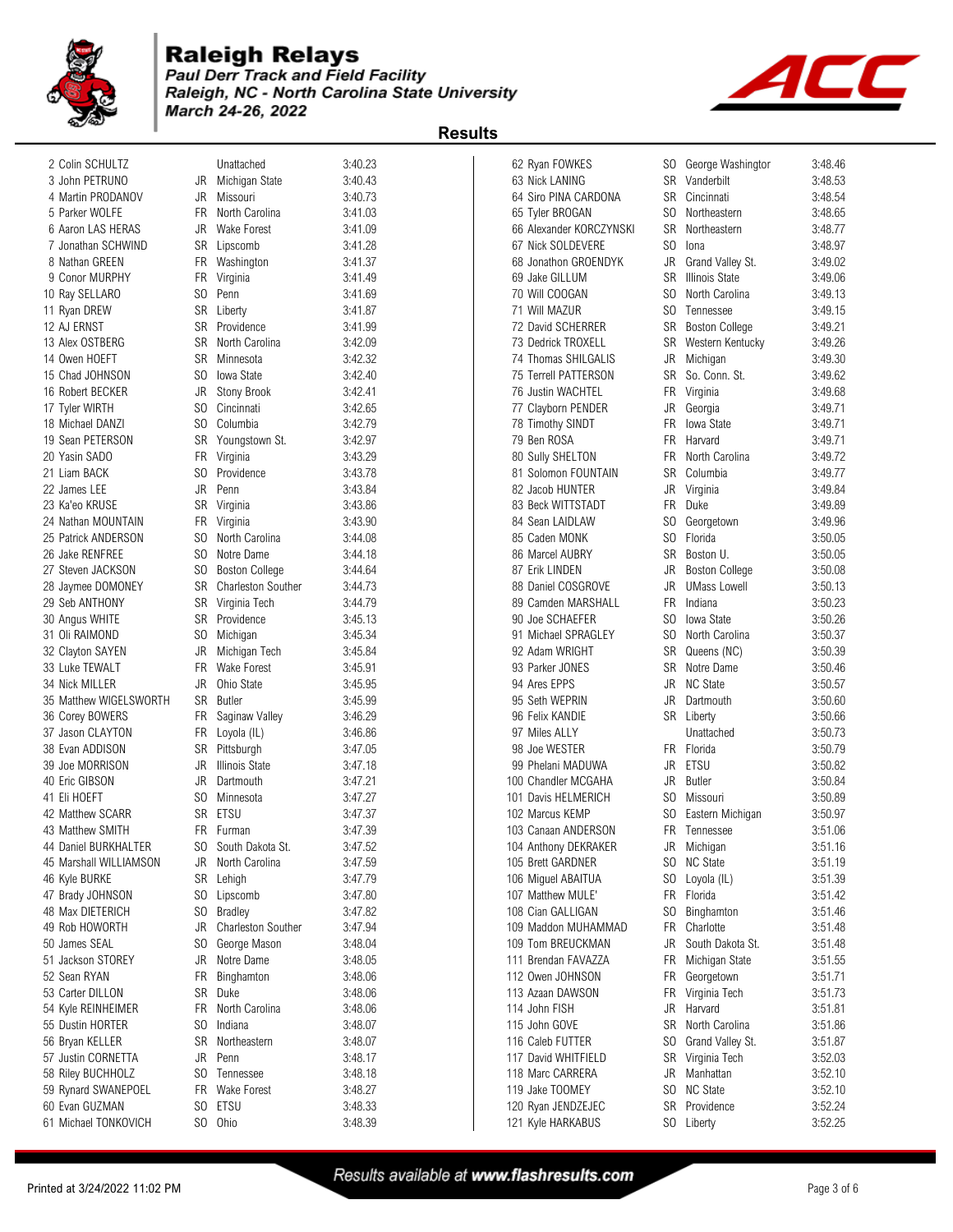

# **Raleigh Relays**<br>**Paul Derr Track and Field Facility**

Raleigh, NC - North Carolina State University March 24-26, 2022





| 2 Colin SCHULTZ        |     | Unattached                | 3:40.23 | 62 Ryan FOWKES       |                         | SO.            | George Washingtor     | 3:48.46 |
|------------------------|-----|---------------------------|---------|----------------------|-------------------------|----------------|-----------------------|---------|
| 3 John PETRUNO         | JR  | Michigan State            | 3:40.43 | 63 Nick LANING       |                         |                | SR Vanderbilt         | 3:48.53 |
| 4 Martin PRODANOV      | JR  | Missouri                  | 3:40.73 |                      | 64 Siro PINA CARDONA    |                | SR Cincinnati         | 3:48.54 |
| 5 Parker WOLFE         | FR. | North Carolina            | 3:41.03 | 65 Tyler BROGAN      |                         | SO.            | Northeastern          | 3:48.65 |
| 6 Aaron LAS HERAS      | JR  | <b>Wake Forest</b>        | 3:41.09 |                      | 66 Alexander KORCZYNSKI | SR             | Northeastern          | 3:48.77 |
| 7 Jonathan SCHWIND     |     | SR Lipscomb               | 3:41.28 | 67 Nick SOLDEVERE    |                         | SO.            | lona                  | 3:48.97 |
| 8 Nathan GREEN         |     | FR Washington             | 3:41.37 |                      | 68 Jonathon GROENDYK    | JR             | Grand Valley St.      | 3:49.02 |
| 9 Conor MURPHY         | FR  | Virginia                  | 3:41.49 | 69 Jake GILLUM       |                         | SR             | Illinois State        | 3:49.06 |
| 10 Ray SELLARO         | SO. | Penn                      | 3:41.69 | 70 Will COOGAN       |                         | SO.            | North Carolina        | 3:49.13 |
| 11 Ryan DREW           |     | SR Liberty                | 3:41.87 | 71 Will MAZUR        |                         | SO.            | Tennessee             | 3:49.15 |
| 12 AJ ERNST            |     | SR Providence             | 3:41.99 | 72 David SCHERRER    |                         | SR             | <b>Boston College</b> | 3:49.21 |
| 13 Alex OSTBERG        |     | SR North Carolina         | 3:42.09 | 73 Dedrick TROXELL   |                         |                | SR Western Kentucky   | 3:49.26 |
| 14 Owen HOEFT          | SR  | Minnesota                 | 3:42.32 | 74 Thomas SHILGALIS  |                         | JR             |                       | 3:49.30 |
|                        |     |                           |         |                      |                         |                | Michigan              |         |
| 15 Chad JOHNSON        | SO. | Iowa State                | 3:42.40 | 75 Terrell PATTERSON |                         |                | SR So. Conn. St.      | 3:49.62 |
| 16 Robert BECKER       | JR  | Stony Brook               | 3:42.41 | 76 Justin WACHTEL    |                         |                | FR Virginia           | 3:49.68 |
| 17 Tyler WIRTH         | SO. | Cincinnati                | 3:42.65 | 77 Clayborn PENDER   |                         | JR             | Georgia               | 3:49.71 |
| 18 Michael DANZI       | SO. | Columbia                  | 3:42.79 | 78 Timothy SINDT     |                         | FR             | Iowa State            | 3:49.71 |
| 19 Sean PETERSON       |     | SR Youngstown St.         | 3:42.97 | 79 Ben ROSA          |                         | FR             | Harvard               | 3:49.71 |
| 20 Yasin SADO          | FR  | Virginia                  | 3:43.29 | 80 Sully SHELTON     |                         | FR             | North Carolina        | 3:49.72 |
| 21 Liam BACK           | SO. | Providence                | 3:43.78 |                      | 81 Solomon FOUNTAIN     | SR             | Columbia              | 3:49.77 |
| 22 James LEE           | JR  | Penn                      | 3:43.84 | 82 Jacob HUNTER      |                         | JR             | Virginia              | 3:49.84 |
| 23 Ka'eo KRUSE         | SR  | Virginia                  | 3:43.86 | 83 Beck WITTSTADT    |                         | <b>FR</b>      | Duke                  | 3:49.89 |
| 24 Nathan MOUNTAIN     | FR  | Virginia                  | 3:43.90 | 84 Sean LAIDLAW      |                         | SO.            | Georgetown            | 3:49.96 |
| 25 Patrick ANDERSON    | SO. | North Carolina            | 3:44.08 | 85 Caden MONK        |                         | SO.            | Florida               | 3:50.05 |
| 26 Jake RENFREE        | SO. | Notre Dame                | 3:44.18 | 86 Marcel AUBRY      |                         | SR             | Boston U.             | 3:50.05 |
| 27 Steven JACKSON      | SO. | <b>Boston College</b>     | 3:44.64 | 87 Erik LINDEN       |                         | JR             | <b>Boston College</b> | 3:50.08 |
| 28 Jaymee DOMONEY      | SR  | <b>Charleston Souther</b> | 3:44.73 | 88 Daniel COSGROVE   |                         | JR             | <b>UMass Lowell</b>   | 3:50.13 |
| 29 Seb ANTHONY         |     | SR Virginia Tech          | 3:44.79 |                      | 89 Camden MARSHALL      | FR             | Indiana               | 3:50.23 |
| 30 Angus WHITE         |     | SR Providence             | 3:45.13 | 90 Joe SCHAEFER      |                         | SO.            | <b>Iowa State</b>     | 3:50.26 |
| 31 Oli RAIMOND         | SO. | Michigan                  | 3:45.34 | 91 Michael SPRAGLEY  |                         | SO.            | North Carolina        | 3:50.37 |
| 32 Clayton SAYEN       | JR  | Michigan Tech             | 3:45.84 | 92 Adam WRIGHT       |                         | SR             | Queens (NC)           | 3:50.39 |
| 33 Luke TEWALT         | FR. | Wake Forest               | 3:45.91 | 93 Parker JONES      |                         | SR             | Notre Dame            | 3:50.46 |
| 34 Nick MILLER         | JR  | Ohio State                | 3:45.95 | 94 Ares EPPS         |                         | JR             | <b>NC State</b>       | 3:50.57 |
| 35 Matthew WIGELSWORTH | SR  | <b>Butler</b>             | 3:45.99 | 95 Seth WEPRIN       |                         | JR             | Dartmouth             | 3:50.60 |
| 36 Corey BOWERS        | FR  | Saginaw Valley            | 3:46.29 | 96 Felix KANDIE      |                         |                | SR Liberty            | 3:50.66 |
| 37 Jason CLAYTON       | FR  | Loyola (IL)               | 3:46.86 | 97 Miles ALLY        |                         |                | Unattached            | 3:50.73 |
| 38 Evan ADDISON        |     | SR Pittsburgh             | 3:47.05 | 98 Joe WESTER        |                         |                | FR Florida            | 3:50.79 |
| 39 Joe MORRISON        | JR  | <b>Illinois State</b>     | 3:47.18 | 99 Phelani MADUWA    |                         | JR             | ETSU                  | 3:50.82 |
| 40 Eric GIBSON         | JR  | Dartmouth                 | 3:47.21 | 100 Chandler MCGAHA  |                         | JR             | Butler                | 3:50.84 |
| 41 EII HOEFT           | SO. | Minnesota                 | 3:47.27 | 101 Davis HELMERICH  |                         | S <sub>0</sub> |                       | 3:50.89 |
| 42 Matthew SCARR       |     | <b>ETSU</b>               |         |                      |                         |                | Missouri              |         |
|                        | SR  |                           | 3:47.37 | 102 Marcus KEMP      |                         | S <sub>0</sub> | Eastern Michigan      | 3:50.97 |
| 43 Matthew SMITH       |     | FR Furman                 | 3:47.39 | 103 Canaan ANDERSON  |                         |                | FR Tennessee          | 3:51.06 |
| 44 Daniel BURKHALTER   | SO. | South Dakota St.          | 3:47.52 | 104 Anthony DEKRAKER |                         | JR             | Michigan              | 3:51.16 |
| 45 Marshall WILLIAMSON | JR  | North Carolina            | 3:47.59 | 105 Brett GARDNER    |                         |                | SO NC State           | 3:51.19 |
| 46 Kyle BURKE          | SR  | Lehigh                    | 3:47.79 | 106 Miguel ABAITUA   |                         | SO.            | Loyola (IL)           | 3:51.39 |
| 47 Brady JOHNSON       | SO. | Lipscomb                  | 3:47.80 | 107 Matthew MULE'    |                         |                | FR Florida            | 3:51.42 |
| 48 Max DIETERICH       | SO. | <b>Bradley</b>            | 3:47.82 | 108 Cian GALLIGAN    |                         | SO.            | Binghamton            | 3:51.46 |
| 49 Rob HOWORTH         | JR  | <b>Charleston Souther</b> | 3:47.94 |                      | 109 Maddon MUHAMMAD     |                | FR Charlotte          | 3:51.48 |
| 50 James SEAL          | SO. | George Mason              | 3:48.04 | 109 Tom BREUCKMAN    |                         | JR             | South Dakota St.      | 3:51.48 |
| 51 Jackson STOREY      | JR  | Notre Dame                | 3:48.05 | 111 Brendan FAVAZZA  |                         | FR             | Michigan State        | 3:51.55 |
| 52 Sean RYAN           | FR  | Binghamton                | 3:48.06 | 112 Owen JOHNSON     |                         | FR             | Georgetown            | 3:51.71 |
| 53 Carter DILLON       |     | SR Duke                   | 3:48.06 | 113 Azaan DAWSON     |                         | FR             | Virginia Tech         | 3:51.73 |
| 54 Kyle REINHEIMER     | FR  | North Carolina            | 3:48.06 | 114 John FISH        |                         | JR             | Harvard               | 3:51.81 |
| 55 Dustin HORTER       | SO. | Indiana                   | 3:48.07 | 115 John GOVE        |                         |                | SR North Carolina     | 3:51.86 |
| 56 Bryan KELLER        | SR  | Northeastern              | 3:48.07 | 116 Caleb FUTTER     |                         | SO.            | Grand Valley St.      | 3:51.87 |
| 57 Justin CORNETTA     | JR  | Penn                      | 3:48.17 | 117 David WHITFIELD  |                         |                | SR Virginia Tech      | 3:52.03 |
| 58 Riley BUCHHOLZ      | SO. | Tennessee                 | 3:48.18 | 118 Marc CARRERA     |                         | JR             | Manhattan             | 3:52.10 |
| 59 Rynard SWANEPOEL    | FR  | Wake Forest               | 3:48.27 | 119 Jake TOOMEY      |                         | SO.            | <b>NC State</b>       | 3:52.10 |
| 60 Evan GUZMAN         | SO. | ETSU                      | 3:48.33 | 120 Ryan JENDZEJEC   |                         |                | SR Providence         | 3:52.24 |
| 61 Michael TONKOVICH   |     | SO Ohio                   | 3:48.39 | 121 Kyle HARKABUS    |                         |                | SO Liberty            | 3:52.25 |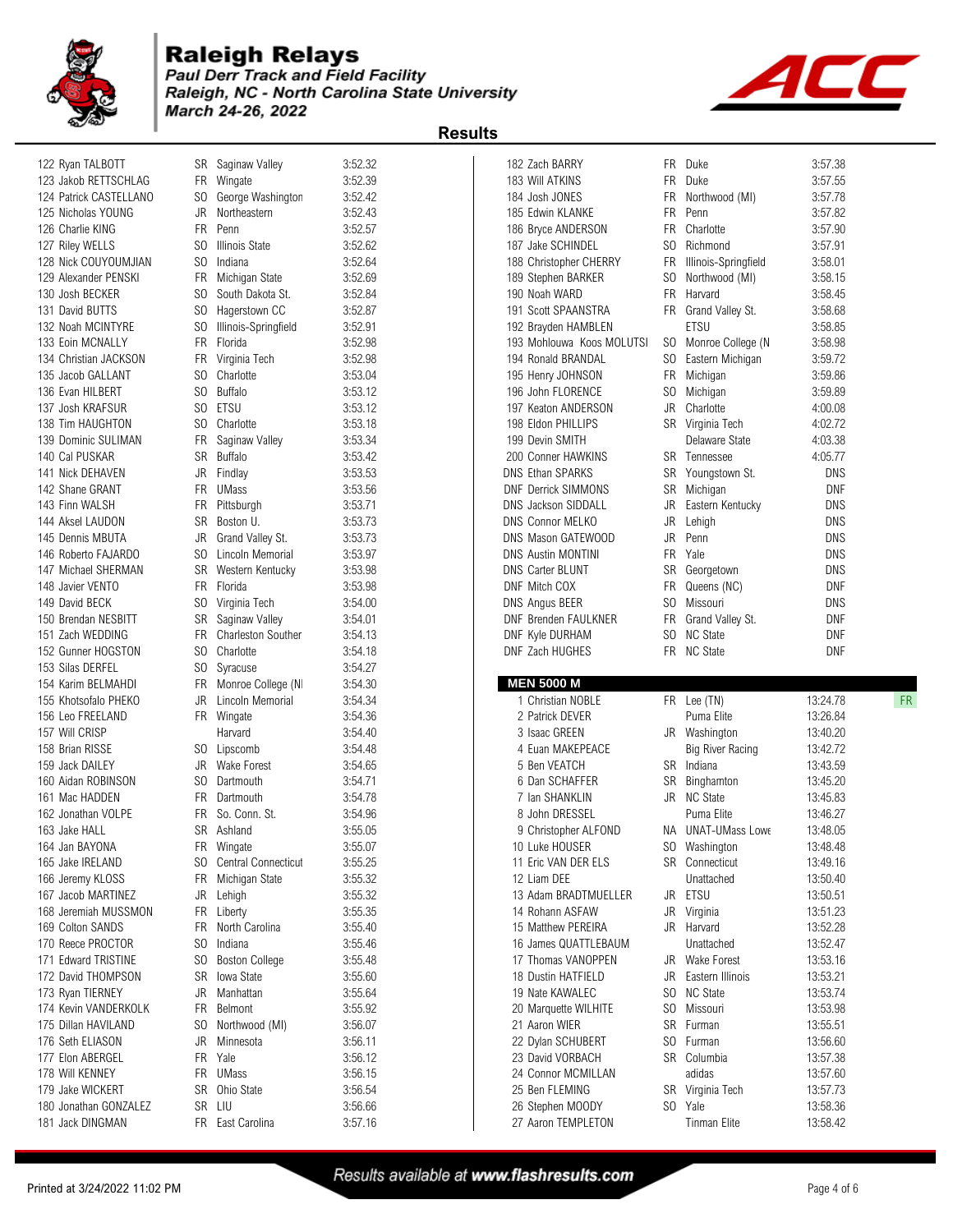

## **Raleigh Relays**<br>**Paul Derr Track and Field Facility** Raleigh, NC - North Carolina State University

March 24-26, 2022



| 122 Ryan TALBOTT                                                                                                                                                                                                                                                | SR             | Saginaw Valley             | 3:52.32            | 182 Zach BARRY                         | FR  | Duke                           | 3:57.38              |    |
|-----------------------------------------------------------------------------------------------------------------------------------------------------------------------------------------------------------------------------------------------------------------|----------------|----------------------------|--------------------|----------------------------------------|-----|--------------------------------|----------------------|----|
| 123 Jakob RETTSCHLAG                                                                                                                                                                                                                                            | FR             | Wingate                    | 3:52.39            | 183 Will ATKINS                        |     | FR Duke                        | 3:57.55              |    |
| 124 Patrick CASTELLANO                                                                                                                                                                                                                                          | SO.            | George Washingtor          | 3:52.42            | 184 Josh JONES                         | FR  | Northwood (MI)                 | 3:57.78              |    |
| 125 Nicholas YOUNG                                                                                                                                                                                                                                              | JR             | Northeastern               | 3:52.43            | 185 Edwin KLANKE                       | FR. | Penn                           | 3:57.82              |    |
| 126 Charlie KING                                                                                                                                                                                                                                                | <b>FR</b>      | Penn                       | 3:52.57            | 186 Bryce ANDERSON                     | FR  | Charlotte                      | 3:57.90              |    |
| 127 Riley WELLS                                                                                                                                                                                                                                                 | SO.            | <b>Illinois State</b>      | 3:52.62            | 187 Jake SCHINDEL                      | SO. | Richmond                       | 3:57.91              |    |
| 128 Nick COUYOUMJIAN                                                                                                                                                                                                                                            | SO.            | Indiana                    | 3:52.64            | 188 Christopher CHERRY                 | FR  | Illinois-Springfield           | 3:58.01              |    |
| 129 Alexander PENSKI                                                                                                                                                                                                                                            | FR             | Michigan State             | 3:52.69            | 189 Stephen BARKER                     | SO. | Northwood (MI)                 | 3:58.15              |    |
| 130 Josh BECKER                                                                                                                                                                                                                                                 | SO.            | South Dakota St.           | 3:52.84            | 190 Noah WARD                          |     | FR Harvard                     | 3:58.45              |    |
|                                                                                                                                                                                                                                                                 |                |                            |                    |                                        |     |                                |                      |    |
| 131 David BUTTS                                                                                                                                                                                                                                                 | SO.            | Hagerstown CC              | 3:52.87            | 191 Scott SPAANSTRA                    |     | FR Grand Valley St.            | 3:58.68              |    |
| 132 Noah MCINTYRE                                                                                                                                                                                                                                               | SO.            | Illinois-Springfield       | 3:52.91            | 192 Brayden HAMBLEN                    |     | ETSU                           | 3:58.85              |    |
| 133 Eoin MCNALLY                                                                                                                                                                                                                                                | <b>FR</b>      | Florida                    | 3:52.98            | 193 Mohlouwa Koos MOLUTSI              |     | SO Monroe College (N           | 3:58.98              |    |
| 134 Christian JACKSON                                                                                                                                                                                                                                           | FR.            | Virginia Tech              | 3:52.98            | 194 Ronald BRANDAL                     | SO. | Eastern Michigan               | 3:59.72              |    |
| 135 Jacob GALLANT                                                                                                                                                                                                                                               | SO.            | Charlotte                  | 3:53.04            | 195 Henry JOHNSON                      |     | FR Michigan                    | 3:59.86              |    |
| 136 Evan HILBERT                                                                                                                                                                                                                                                | SO.            | <b>Buffalo</b>             | 3:53.12            | 196 John FLORENCE                      | SO  | Michigan                       | 3:59.89              |    |
| 137 Josh KRAFSUR                                                                                                                                                                                                                                                | SO.            | <b>ETSU</b>                | 3:53.12            | 197 Keaton ANDERSON                    |     | JR Charlotte                   | 4:00.08              |    |
| 138 Tim HAUGHTON                                                                                                                                                                                                                                                | SO.            | Charlotte                  | 3:53.18            | 198 Eldon PHILLIPS                     |     | SR Virginia Tech               | 4:02.72              |    |
| 139 Dominic SULIMAN                                                                                                                                                                                                                                             | FR             | Saginaw Valley             | 3:53.34            | 199 Devin SMITH                        |     | Delaware State                 | 4:03.38              |    |
| 140 Cal PUSKAR                                                                                                                                                                                                                                                  | SR             | Buffalo                    | 3:53.42            | 200 Conner HAWKINS                     |     | SR Tennessee                   | 4:05.77              |    |
| 141 Nick DEHAVEN                                                                                                                                                                                                                                                | JR             | Findlay                    | 3:53.53            | DNS Ethan SPARKS                       |     | SR Youngstown St.              | DNS                  |    |
| 142 Shane GRANT                                                                                                                                                                                                                                                 | FR             | UMass                      | 3:53.56            | <b>DNF Derrick SIMMONS</b>             |     | SR Michigan                    | DNF                  |    |
| 143 Finn WALSH                                                                                                                                                                                                                                                  | FR             | Pittsburgh                 | 3:53.71            | <b>DNS Jackson SIDDALL</b>             | JR  | Eastern Kentucky               | DNS                  |    |
| 144 Aksel LAUDON                                                                                                                                                                                                                                                | SR             | Boston U.                  | 3:53.73            | <b>DNS Connor MELKO</b>                | JR  | Lehigh                         | DNS                  |    |
| 145 Dennis MBUTA                                                                                                                                                                                                                                                | JR             | Grand Valley St.           | 3:53.73            | DNS Mason GATEWOOD                     | JR  | Penn                           | DNS                  |    |
| 146 Roberto FAJARDO                                                                                                                                                                                                                                             |                | Lincoln Memorial           | 3:53.97            | <b>DNS Austin MONTINI</b>              | FR  | Yale                           | DNS                  |    |
|                                                                                                                                                                                                                                                                 | SO.            |                            |                    |                                        |     |                                |                      |    |
| 147 Michael SHERMAN                                                                                                                                                                                                                                             |                | <b>SR</b> Western Kentucky | 3:53.98            | DNS Carter BLUNT                       | SR  | Georgetown                     | DNS                  |    |
| 148 Javier VENTO                                                                                                                                                                                                                                                | FR             | Florida                    | 3:53.98            | DNF Mitch COX                          |     | FR Queens (NC)                 | <b>DNF</b>           |    |
| 149 David BECK                                                                                                                                                                                                                                                  | S <sub>0</sub> | Virginia Tech              | 3:54.00            | DNS Angus BEER                         | SO. | Missouri                       | DNS                  |    |
| 150 Brendan NESBITT                                                                                                                                                                                                                                             | SR             | Saginaw Valley             | 3:54.01            | DNF Brenden FAULKNER                   | FR  | Grand Valley St.               | <b>DNF</b>           |    |
| 151 Zach WEDDING                                                                                                                                                                                                                                                | FR.            | <b>Charleston Souther</b>  | 3:54.13            | DNF Kyle DURHAM                        |     | SO NC State                    | DNF                  |    |
| 152 Gunner HOGSTON                                                                                                                                                                                                                                              | SO.            | Charlotte                  | 3:54.18            | DNF Zach HUGHES                        |     | FR NC State                    | <b>DNF</b>           |    |
| 153 Silas DERFEL                                                                                                                                                                                                                                                | SO             | Syracuse                   | 3:54.27            |                                        |     |                                |                      |    |
| 154 Karim BELMAHDI                                                                                                                                                                                                                                              | FR             | Monroe College (N          | 3:54.30            | <b>MEN 5000 M</b>                      |     |                                |                      |    |
| 155 Khotsofalo PHEKO                                                                                                                                                                                                                                            | JR             | Lincoln Memorial           | 3:54.34            | 1 Christian NOBLE                      |     | FR Lee (TN)                    | 13:24.78             | FR |
| 156 Leo FREELAND                                                                                                                                                                                                                                                |                | FR Wingate                 | 3:54.36            | 2 Patrick DEVER                        |     | Puma Elite                     | 13:26.84             |    |
|                                                                                                                                                                                                                                                                 |                |                            |                    |                                        |     |                                |                      |    |
|                                                                                                                                                                                                                                                                 |                |                            |                    |                                        |     |                                |                      |    |
|                                                                                                                                                                                                                                                                 |                | Harvard                    | 3:54.40            | 3 Isaac GREEN                          |     | JR Washington                  | 13:40.20             |    |
|                                                                                                                                                                                                                                                                 |                | SO Lipscomb                | 3:54.48            | 4 Euan MAKEPEACE                       |     | Big River Racing               | 13:42.72             |    |
|                                                                                                                                                                                                                                                                 | JR             | Wake Forest                | 3:54.65            | 5 Ben VEATCH                           |     | SR Indiana                     | 13:43.59             |    |
|                                                                                                                                                                                                                                                                 | SO.            | Dartmouth                  | 3:54.71            | 6 Dan SCHAFFER                         |     | SR Binghamton                  | 13:45.20             |    |
|                                                                                                                                                                                                                                                                 | FR             | Dartmouth                  | 3:54.78            | 7 Ian SHANKLIN                         |     | JR NC State                    | 13:45.83             |    |
|                                                                                                                                                                                                                                                                 |                | FR So. Conn. St.           | 3:54.96            | 8 John DRESSEL                         |     | Puma Elite                     | 13:46.27             |    |
|                                                                                                                                                                                                                                                                 | SR             | Ashland                    | 3:55.05            | 9 Christopher ALFOND                   |     | NA UNAT-UMass Lowe             | 13:48.05             |    |
|                                                                                                                                                                                                                                                                 |                | FR Wingate                 | 3:55.07            | 10 Luke HOUSER                         |     | SO Washington                  | 13:48.48             |    |
|                                                                                                                                                                                                                                                                 | SO.            | Central Connecticut        | 3:55.25            | 11 Eric VAN DER ELS                    |     | SR Connecticut                 | 13:49.16             |    |
|                                                                                                                                                                                                                                                                 | FR             | Michigan State             | 3:55.32            | 12 Liam DEE                            |     | Unattached                     | 13:50.40             |    |
|                                                                                                                                                                                                                                                                 | JR             | Lehigh                     | 3:55.32            | 13 Adam BRADTMUELLER                   |     | JR ETSU                        | 13:50.51             |    |
|                                                                                                                                                                                                                                                                 |                | FR Liberty                 | 3:55.35            | 14 Rohann ASFAW                        |     | JR Virginia                    | 13:51.23             |    |
| 157 Will CRISP<br>158 Brian RISSE<br>159 Jack DAILEY<br>160 Aidan ROBINSON<br>161 Mac HADDEN<br>162 Jonathan VOLPE<br>163 Jake HALL<br>164 Jan BAYONA<br>165 Jake IRELAND<br>166 Jeremy KLOSS<br>167 Jacob MARTINEZ<br>168 Jeremiah MUSSMON<br>169 Colton SANDS |                | FR North Carolina          | 3:55.40            | 15 Matthew PEREIRA                     |     | JR Harvard                     | 13:52.28             |    |
| 170 Reece PROCTOR                                                                                                                                                                                                                                               | SO.            | Indiana                    |                    | 16 James QUATTLEBAUM                   |     | Unattached                     |                      |    |
| 171 Edward TRISTINE                                                                                                                                                                                                                                             |                |                            | 3:55.46            | 17 Thomas VANOPPEN                     |     | JR Wake Forest                 | 13:52.47             |    |
|                                                                                                                                                                                                                                                                 | S <sub>0</sub> | <b>Boston College</b>      | 3:55.48            |                                        |     |                                | 13:53.16             |    |
| 172 David THOMPSON                                                                                                                                                                                                                                              | SR             | <b>Iowa State</b>          | 3:55.60            | 18 Dustin HATFIELD                     | JR  | Eastern Illinois               | 13:53.21             |    |
| 173 Ryan TIERNEY                                                                                                                                                                                                                                                | JR             | Manhattan                  | 3:55.64            | 19 Nate KAWALEC                        |     | SO NC State                    | 13:53.74             |    |
|                                                                                                                                                                                                                                                                 | FR             | Belmont                    | 3:55.92            | 20 Marquette WILHITE                   |     | SO Missouri                    | 13:53.98             |    |
|                                                                                                                                                                                                                                                                 | SO.            | Northwood (MI)             | 3:56.07            | 21 Aaron WIER                          |     | SR Furman                      | 13:55.51             |    |
|                                                                                                                                                                                                                                                                 | JR             | Minnesota                  | 3:56.11            | 22 Dylan SCHUBERT                      | SO. | Furman                         | 13:56.60             |    |
|                                                                                                                                                                                                                                                                 | <b>FR</b>      | Yale                       | 3:56.12            | 23 David VORBACH                       |     | SR Columbia                    | 13:57.38             |    |
|                                                                                                                                                                                                                                                                 |                | FR UMass                   | 3:56.15            | 24 Connor MCMILLAN                     |     | adidas                         | 13:57.60             |    |
|                                                                                                                                                                                                                                                                 | SR             | Ohio State                 | 3:56.54            | 25 Ben FLEMING                         |     | SR Virginia Tech               | 13:57.73             |    |
| 174 Kevin VANDERKOLK<br>175 Dillan HAVILAND<br>176 Seth ELIASON<br>177 Elon ABERGEL<br>178 Will KENNEY<br>179 Jake WICKERT<br>180 Jonathan GONZALEZ<br>181 Jack DINGMAN                                                                                         |                | SR LIU<br>FR East Carolina | 3:56.66<br>3:57.16 | 26 Stephen MOODY<br>27 Aaron TEMPLETON |     | SO Yale<br><b>Tinman Elite</b> | 13:58.36<br>13:58.42 |    |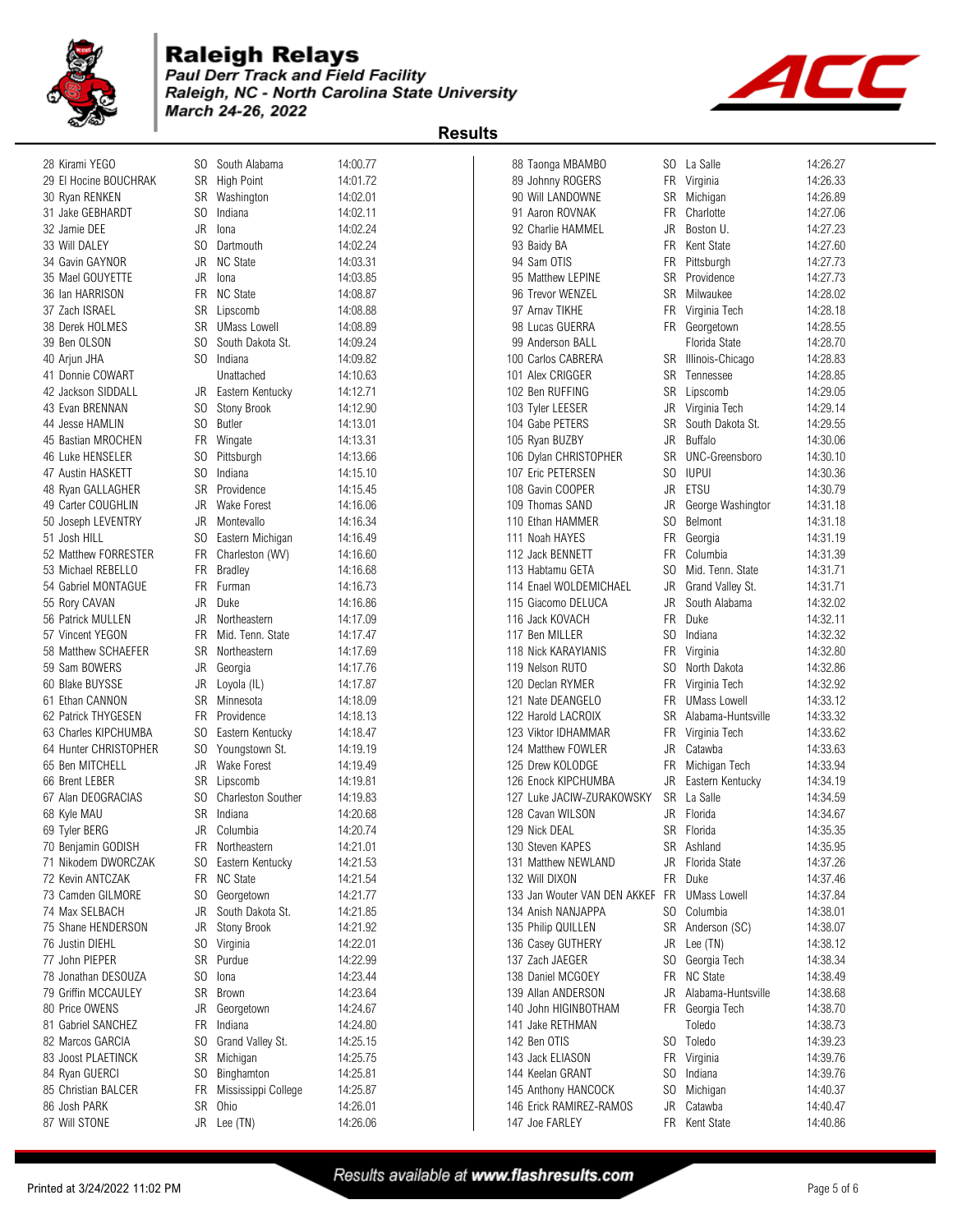

## **Raleigh Relays**<br>**Paul Derr Track and Field Facility** Raleigh, NC - North Carolina State University

March 24-26, 2022



| 28 Kirami YEGO        | SO.       | South Alabama             | 14:00.77 | 88 Taonga MBAMBO             | SO.       | La Salle              | 14:26.27 |
|-----------------------|-----------|---------------------------|----------|------------------------------|-----------|-----------------------|----------|
| 29 El Hocine BOUCHRAK |           | SR High Point             | 14:01.72 | 89 Johnny ROGERS             |           | FR Virginia           | 14:26.33 |
| 30 Ryan RENKEN        |           | SR Washington             | 14:02.01 | 90 Will LANDOWNE             | SR        | Michigan              | 14:26.89 |
| 31 Jake GEBHARDT      | SO.       | Indiana                   | 14:02.11 | 91 Aaron ROVNAK              | <b>FR</b> | Charlotte             | 14:27.06 |
| 32 Jamie DEE          | JR        | Iona                      | 14:02.24 | 92 Charlie HAMMEL            | JR        | Boston U.             | 14:27.23 |
| 33 Will DALEY         | SO.       | Dartmouth                 | 14:02.24 | 93 Baidy BA                  | FR        | Kent State            | 14:27.60 |
| 34 Gavin GAYNOR       | JR.       | <b>NC State</b>           | 14:03.31 | 94 Sam OTIS                  | FR        | Pittsburgh            | 14:27.73 |
| 35 Mael GOUYETTE      | JR        | lona                      | 14:03.85 | 95 Matthew LEPINE            | <b>SR</b> | Providence            | 14:27.73 |
| 36 Ian HARRISON       | FR.       | <b>NC State</b>           | 14:08.87 | 96 Trevor WENZEL             | SR        | Milwaukee             | 14:28.02 |
| 37 Zach ISRAEL        | SR        | Lipscomb                  | 14:08.88 | 97 Arnav TIKHE               | FR        | Virginia Tech         | 14:28.18 |
| 38 Derek HOLMES       | SR        | <b>UMass Lowell</b>       | 14:08.89 | 98 Lucas GUERRA              |           | FR Georgetown         | 14:28.55 |
| 39 Ben OLSON          | SO.       | South Dakota St.          | 14:09.24 | 99 Anderson BALL             |           | Florida State         | 14:28.70 |
| 40 Arjun JHA          | SO.       | Indiana                   | 14:09.82 | 100 Carlos CABRERA           |           | SR Illinois-Chicago   | 14:28.83 |
| 41 Donnie COWART      |           | Unattached                | 14:10.63 | 101 Alex CRIGGER             | SR        | Tennessee             | 14:28.85 |
| 42 Jackson SIDDALL    | JR        | Eastern Kentucky          | 14:12.71 | 102 Ben RUFFING              | <b>SR</b> | Lipscomb              | 14:29.05 |
| 43 Evan BRENNAN       | SO.       | Stony Brook               | 14:12.90 |                              | JR        | Virginia Tech         | 14:29.14 |
|                       |           |                           |          | 103 Tyler LEESER             |           |                       |          |
| 44 Jesse HAMLIN       | SO.       | <b>Butler</b>             | 14:13.01 | 104 Gabe PETERS              | SR        | South Dakota St.      | 14:29.55 |
| 45 Bastian MROCHEN    |           | FR Wingate                | 14:13.31 | 105 Ryan BUZBY               | JR        | <b>Buffalo</b>        | 14:30.06 |
| 46 Luke HENSELER      | SO.       | Pittsburgh                | 14:13.66 | 106 Dylan CHRISTOPHER        | <b>SR</b> | UNC-Greensboro        | 14:30.10 |
| 47 Austin HASKETT     | SO.       | Indiana                   | 14:15.10 | 107 Eric PETERSEN            | SO.       | <b>IUPUI</b>          | 14:30.36 |
| 48 Ryan GALLAGHER     | SR        | Providence                | 14:15.45 | 108 Gavin COOPER             |           | JR ETSU               | 14:30.79 |
| 49 Carter COUGHLIN    | JR        | <b>Wake Forest</b>        | 14:16.06 | 109 Thomas SAND              | JR        | George Washingtor     | 14:31.18 |
| 50 Joseph LEVENTRY    | JR        | Montevallo                | 14:16.34 | 110 Ethan HAMMER             | SO.       | Belmont               | 14:31.18 |
| 51 Josh HILL          | SO.       | Eastern Michigan          | 14:16.49 | 111 Noah HAYES               | <b>FR</b> | Georgia               | 14:31.19 |
| 52 Matthew FORRESTER  | FR        | Charleston (WV)           | 14:16.60 | 112 Jack BENNETT             | <b>FR</b> | Columbia              | 14:31.39 |
| 53 Michael REBELLO    | FR        | <b>Bradley</b>            | 14:16.68 | 113 Habtamu GETA             | SO.       | Mid. Tenn. State      | 14:31.71 |
| 54 Gabriel MONTAGUE   | FR        | Furman                    | 14:16.73 | 114 Enael WOLDEMICHAEL       | JR        | Grand Valley St.      | 14:31.71 |
| 55 Rory CAVAN         | JR        | Duke                      | 14:16.86 | 115 Giacomo DELUCA           | JR        | South Alabama         | 14:32.02 |
| 56 Patrick MULLEN     | JR        | Northeastern              | 14:17.09 | 116 Jack KOVACH              | FR.       | Duke                  | 14:32.11 |
| 57 Vincent YEGON      | <b>FR</b> | Mid. Tenn. State          | 14:17.47 | 117 Ben MILLER               | SO.       | Indiana               | 14:32.32 |
| 58 Matthew SCHAEFER   | SR        | Northeastern              | 14:17.69 | 118 Nick KARAYIANIS          | FR        | Virginia              | 14:32.80 |
| 59 Sam BOWERS         | JR        | Georgia                   | 14:17.76 | 119 Nelson RUTO              | SO.       | North Dakota          | 14:32.86 |
| 60 Blake BUYSSE       | JR        | Loyola (IL)               | 14:17.87 | 120 Declan RYMER             | FR.       | Virginia Tech         | 14:32.92 |
| 61 Ethan CANNON       | <b>SR</b> | Minnesota                 | 14:18.09 | 121 Nate DEANGELO            | <b>FR</b> | <b>UMass Lowell</b>   | 14:33.12 |
| 62 Patrick THYGESEN   | <b>FR</b> | Providence                | 14:18.13 | 122 Harold LACROIX           | <b>SR</b> | Alabama-Huntsville    | 14:33.32 |
| 63 Charles KIPCHUMBA  | SO.       | Eastern Kentucky          | 14:18.47 | 123 Viktor IDHAMMAR          |           | FR Virginia Tech      | 14:33.62 |
| 64 Hunter CHRISTOPHER | SO.       | Youngstown St.            | 14:19.19 | 124 Matthew FOWLER           | JR        | Catawba               | 14:33.63 |
| 65 Ben MITCHELL       | JR        | Wake Forest               | 14:19.49 | 125 Drew KOLODGE             | FR        | Michigan Tech         | 14:33.94 |
| 66 Brent LEBER        | SR        | Lipscomb                  | 14:19.81 | 126 Enock KIPCHUMBA          | JR        | Eastern Kentucky      | 14:34.19 |
| 67 Alan DEOGRACIAS    | SO.       | <b>Charleston Souther</b> | 14:19.83 | 127 Luke JACIW-ZURAKOWSKY    |           | SR La Salle           | 14:34.59 |
| 68 Kyle MAU           | SR        | Indiana                   | 14:20.68 | 128 Cavan WILSON             |           | JR Florida            | 14:34.67 |
|                       | JR        | Columbia                  | 14:20.74 | 129 Nick DEAL                | SR        | Florida               | 14:35.35 |
| 69 Tyler BERG         |           |                           |          | 130 Steven KAPES             |           |                       |          |
| 70 Benjamin GODISH    | FR        | Northeastern              | 14:21.01 |                              |           | SR Ashland            | 14:35.95 |
| 71 Nikodem DWORCZAK   | SO.       | Eastern Kentucky          | 14:21.53 | 131 Matthew NEWLAND          | JR        | Florida State         | 14:37.26 |
| 72 Kevin ANTCZAK      |           | FR NC State               | 14:21.54 | 132 Will DIXON               | FR        | Duke                  | 14:37.46 |
| 73 Camden GILMORE     | SO.       | Georgetown                | 14:21.77 | 133 Jan Wouter VAN DEN AKKEF | FR        | <b>UMass Lowell</b>   | 14:37.84 |
| 74 Max SELBACH        | JR        | South Dakota St.          | 14:21.85 | 134 Anish NANJAPPA           |           | SO Columbia           | 14:38.01 |
| 75 Shane HENDERSON    | JR        | Stony Brook               | 14:21.92 | 135 Philip QUILLEN           |           | SR Anderson (SC)      | 14:38.07 |
| 76 Justin DIEHL       |           | SO Virginia               | 14:22.01 | 136 Casey GUTHERY            | JR        | Lee (TN)              | 14:38.12 |
| 77 John PIEPER        |           | SR Purdue                 | 14:22.99 | 137 Zach JAEGER              | SO.       | Georgia Tech          | 14:38.34 |
| 78 Jonathan DESOUZA   | SO.       | lona                      | 14:23.44 | 138 Daniel MCGOEY            |           | FR NC State           | 14:38.49 |
| 79 Griffin MCCAULEY   | SR        | Brown                     | 14:23.64 | 139 Allan ANDERSON           |           | JR Alabama-Huntsville | 14:38.68 |
| 80 Price OWENS        | JR        | Georgetown                | 14:24.67 | 140 John HIGINBOTHAM         |           | FR Georgia Tech       | 14:38.70 |
| 81 Gabriel SANCHEZ    | FR        | Indiana                   | 14:24.80 | 141 Jake RETHMAN             |           | Toledo                | 14:38.73 |
| 82 Marcos GARCIA      | SO.       | Grand Valley St.          | 14:25.15 | 142 Ben OTIS                 |           | SO Toledo             | 14:39.23 |
| 83 Joost PLAETINCK    | SR        | Michigan                  | 14:25.75 | 143 Jack ELIASON             |           | FR Virginia           | 14:39.76 |
| 84 Ryan GUERCI        | SO.       | Binghamton                | 14:25.81 | 144 Keelan GRANT             | SO.       | Indiana               | 14:39.76 |
| 85 Christian BALCER   | <b>FR</b> | Mississippi College       | 14:25.87 | 145 Anthony HANCOCK          | SO.       | Michigan              | 14:40.37 |
| 86 Josh PARK          |           | SR Ohio                   | 14:26.01 | 146 Erick RAMIREZ-RAMOS      | JR        | Catawba               | 14:40.47 |
| 87 Will STONE         |           | JR Lee (TN)               | 14:26.06 | 147 Joe FARLEY               |           | FR Kent State         | 14:40.86 |